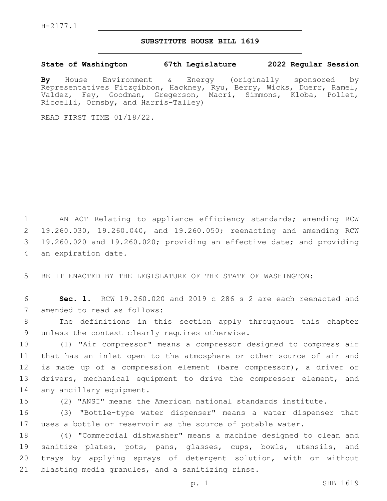## **SUBSTITUTE HOUSE BILL 1619**

**State of Washington 67th Legislature 2022 Regular Session**

**By** House Environment & Energy (originally sponsored by Representatives Fitzgibbon, Hackney, Ryu, Berry, Wicks, Duerr, Ramel, Valdez, Fey, Goodman, Gregerson, Macri, Simmons, Kloba, Pollet, Riccelli, Ormsby, and Harris-Talley)

READ FIRST TIME 01/18/22.

 AN ACT Relating to appliance efficiency standards; amending RCW 19.260.030, 19.260.040, and 19.260.050; reenacting and amending RCW 19.260.020 and 19.260.020; providing an effective date; and providing 4 an expiration date.

5 BE IT ENACTED BY THE LEGISLATURE OF THE STATE OF WASHINGTON:

6 **Sec. 1.** RCW 19.260.020 and 2019 c 286 s 2 are each reenacted and 7 amended to read as follows:

8 The definitions in this section apply throughout this chapter 9 unless the context clearly requires otherwise.

10 (1) "Air compressor" means a compressor designed to compress air 11 that has an inlet open to the atmosphere or other source of air and 12 is made up of a compression element (bare compressor), a driver or 13 drivers, mechanical equipment to drive the compressor element, and 14 any ancillary equipment.

15 (2) "ANSI" means the American national standards institute.

16 (3) "Bottle-type water dispenser" means a water dispenser that 17 uses a bottle or reservoir as the source of potable water.

 (4) "Commercial dishwasher" means a machine designed to clean and sanitize plates, pots, pans, glasses, cups, bowls, utensils, and trays by applying sprays of detergent solution, with or without 21 blasting media granules, and a sanitizing rinse.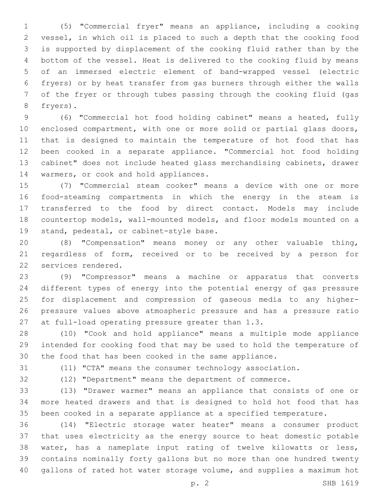(5) "Commercial fryer" means an appliance, including a cooking vessel, in which oil is placed to such a depth that the cooking food is supported by displacement of the cooking fluid rather than by the bottom of the vessel. Heat is delivered to the cooking fluid by means of an immersed electric element of band-wrapped vessel (electric fryers) or by heat transfer from gas burners through either the walls of the fryer or through tubes passing through the cooking fluid (gas 8 fryers).

 (6) "Commercial hot food holding cabinet" means a heated, fully enclosed compartment, with one or more solid or partial glass doors, that is designed to maintain the temperature of hot food that has been cooked in a separate appliance. "Commercial hot food holding cabinet" does not include heated glass merchandising cabinets, drawer 14 warmers, or cook and hold appliances.

 (7) "Commercial steam cooker" means a device with one or more food-steaming compartments in which the energy in the steam is transferred to the food by direct contact. Models may include countertop models, wall-mounted models, and floor models mounted on a 19 stand, pedestal, or cabinet-style base.

 (8) "Compensation" means money or any other valuable thing, regardless of form, received or to be received by a person for 22 services rendered.

 (9) "Compressor" means a machine or apparatus that converts different types of energy into the potential energy of gas pressure for displacement and compression of gaseous media to any higher- pressure values above atmospheric pressure and has a pressure ratio 27 at full-load operating pressure greater than 1.3.

 (10) "Cook and hold appliance" means a multiple mode appliance intended for cooking food that may be used to hold the temperature of the food that has been cooked in the same appliance.

(11) "CTA" means the consumer technology association.

(12) "Department" means the department of commerce.

 (13) "Drawer warmer" means an appliance that consists of one or more heated drawers and that is designed to hold hot food that has

been cooked in a separate appliance at a specified temperature.

 (14) "Electric storage water heater" means a consumer product that uses electricity as the energy source to heat domestic potable water, has a nameplate input rating of twelve kilowatts or less, contains nominally forty gallons but no more than one hundred twenty gallons of rated hot water storage volume, and supplies a maximum hot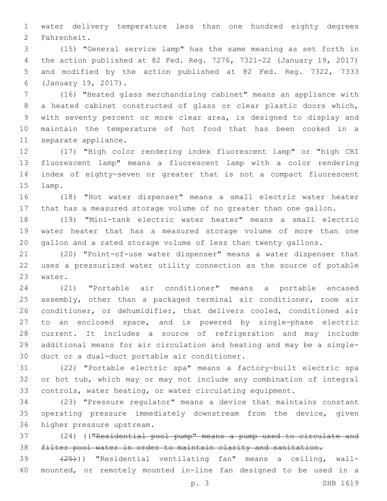water delivery temperature less than one hundred eighty degrees 2 Fahrenheit.

 (15) "General service lamp" has the same meaning as set forth in the action published at 82 Fed. Reg. 7276, 7321-22 (January 19, 2017) and modified by the action published at 82 Fed. Reg. 7322, 7333 (January 19, 2017).6

 (16) "Heated glass merchandising cabinet" means an appliance with a heated cabinet constructed of glass or clear plastic doors which, with seventy percent or more clear area, is designed to display and maintain the temperature of hot food that has been cooked in a 11 separate appliance.

 (17) "High color rendering index fluorescent lamp" or "high CRI fluorescent lamp" means a fluorescent lamp with a color rendering index of eighty-seven or greater that is not a compact fluorescent 15 lamp.

 (18) "Hot water dispenser" means a small electric water heater that has a measured storage volume of no greater than one gallon.

 (19) "Mini-tank electric water heater" means a small electric water heater that has a measured storage volume of more than one gallon and a rated storage volume of less than twenty gallons.

 (20) "Point-of-use water dispenser" means a water dispenser that uses a pressurized water utility connection as the source of potable 23 water.

 (21) "Portable air conditioner" means a portable encased assembly, other than a packaged terminal air conditioner, room air conditioner, or dehumidifier, that delivers cooled, conditioned air to an enclosed space, and is powered by single-phase electric current. It includes a source of refrigeration and may include additional means for air circulation and heating and may be a single-30 duct or a dual-duct portable air conditioner.

 (22) "Portable electric spa" means a factory-built electric spa or hot tub, which may or may not include any combination of integral controls, water heating, or water circulating equipment.

 (23) "Pressure regulator" means a device that maintains constant operating pressure immediately downstream from the device, given 36 higher pressure upstream.

 (24) (("Residential pool pump" means a pump used to circulate and filter pool water in order to maintain clarity and sanitation.

39 (25))) "Residential ventilating fan" means a ceiling, wall-mounted, or remotely mounted in-line fan designed to be used in a

p. 3 SHB 1619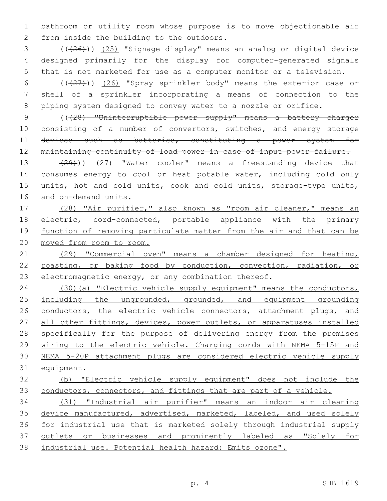bathroom or utility room whose purpose is to move objectionable air 2 from inside the building to the outdoors.

 ( $(\overline{+26})$ )  $(25)$  "Signage display" means an analog or digital device designed primarily for the display for computer-generated signals that is not marketed for use as a computer monitor or a television.

 (((27))) (26) "Spray sprinkler body" means the exterior case or shell of a sprinkler incorporating a means of connection to the piping system designed to convey water to a nozzle or orifice.

 (((28) "Uninterruptible power supply" means a battery charger 10 consisting of a number of convertors, switches, and energy storage 11 devices such as batteries, constituting a power system for maintaining continuity of load power in case of input power failure.

13 (29))) (27) "Water cooler" means a freestanding device that consumes energy to cool or heat potable water, including cold only units, hot and cold units, cook and cold units, storage-type units, 16 and on-demand units.

 (28) "Air purifier," also known as "room air cleaner," means an electric, cord-connected, portable appliance with the primary 19 function of removing particulate matter from the air and that can be moved from room to room.

 (29) "Commercial oven" means a chamber designed for heating, 22 roasting, or baking food by conduction, convection, radiation, or electromagnetic energy, or any combination thereof.

 (30)(a) "Electric vehicle supply equipment" means the conductors, 25 including the ungrounded, grounded, and equipment grounding 26 conductors, the electric vehicle connectors, attachment plugs, and 27 all other fittings, devices, power outlets, or apparatuses installed specifically for the purpose of delivering energy from the premises wiring to the electric vehicle. Charging cords with NEMA 5-15P and NEMA 5-20P attachment plugs are considered electric vehicle supply equipment.

## (b) "Electric vehicle supply equipment" does not include the 33 conductors, connectors, and fittings that are part of a vehicle.

 (31) "Industrial air purifier" means an indoor air cleaning 35 device manufactured, advertised, marketed, labeled, and used solely for industrial use that is marketed solely through industrial supply outlets or businesses and prominently labeled as "Solely for industrial use. Potential health hazard: Emits ozone".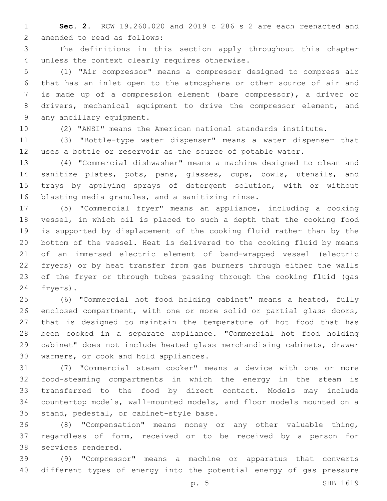**Sec. 2.** RCW 19.260.020 and 2019 c 286 s 2 are each reenacted and 2 amended to read as follows:

 The definitions in this section apply throughout this chapter 4 unless the context clearly requires otherwise.

 (1) "Air compressor" means a compressor designed to compress air that has an inlet open to the atmosphere or other source of air and is made up of a compression element (bare compressor), a driver or drivers, mechanical equipment to drive the compressor element, and 9 any ancillary equipment.

(2) "ANSI" means the American national standards institute.

 (3) "Bottle-type water dispenser" means a water dispenser that uses a bottle or reservoir as the source of potable water.

 (4) "Commercial dishwasher" means a machine designed to clean and sanitize plates, pots, pans, glasses, cups, bowls, utensils, and trays by applying sprays of detergent solution, with or without 16 blasting media granules, and a sanitizing rinse.

 (5) "Commercial fryer" means an appliance, including a cooking vessel, in which oil is placed to such a depth that the cooking food is supported by displacement of the cooking fluid rather than by the bottom of the vessel. Heat is delivered to the cooking fluid by means of an immersed electric element of band-wrapped vessel (electric fryers) or by heat transfer from gas burners through either the walls of the fryer or through tubes passing through the cooking fluid (gas 24 fryers).

 (6) "Commercial hot food holding cabinet" means a heated, fully enclosed compartment, with one or more solid or partial glass doors, that is designed to maintain the temperature of hot food that has been cooked in a separate appliance. "Commercial hot food holding cabinet" does not include heated glass merchandising cabinets, drawer 30 warmers, or cook and hold appliances.

 (7) "Commercial steam cooker" means a device with one or more food-steaming compartments in which the energy in the steam is transferred to the food by direct contact. Models may include countertop models, wall-mounted models, and floor models mounted on a 35 stand, pedestal, or cabinet-style base.

 (8) "Compensation" means money or any other valuable thing, regardless of form, received or to be received by a person for 38 services rendered.

 (9) "Compressor" means a machine or apparatus that converts different types of energy into the potential energy of gas pressure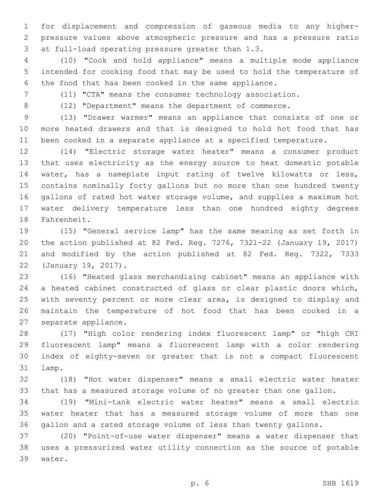for displacement and compression of gaseous media to any higher- pressure values above atmospheric pressure and has a pressure ratio 3 at full-load operating pressure greater than 1.3.

 (10) "Cook and hold appliance" means a multiple mode appliance intended for cooking food that may be used to hold the temperature of the food that has been cooked in the same appliance.

(11) "CTA" means the consumer technology association.

(12) "Department" means the department of commerce.

 (13) "Drawer warmer" means an appliance that consists of one or more heated drawers and that is designed to hold hot food that has been cooked in a separate appliance at a specified temperature.

 (14) "Electric storage water heater" means a consumer product that uses electricity as the energy source to heat domestic potable water, has a nameplate input rating of twelve kilowatts or less, contains nominally forty gallons but no more than one hundred twenty gallons of rated hot water storage volume, and supplies a maximum hot water delivery temperature less than one hundred eighty degrees 18 Fahrenheit.

 (15) "General service lamp" has the same meaning as set forth in the action published at 82 Fed. Reg. 7276, 7321-22 (January 19, 2017) and modified by the action published at 82 Fed. Reg. 7322, 7333 22 (January 19, 2017).

 (16) "Heated glass merchandising cabinet" means an appliance with a heated cabinet constructed of glass or clear plastic doors which, with seventy percent or more clear area, is designed to display and maintain the temperature of hot food that has been cooked in a 27 separate appliance.

 (17) "High color rendering index fluorescent lamp" or "high CRI fluorescent lamp" means a fluorescent lamp with a color rendering index of eighty-seven or greater that is not a compact fluorescent 31 lamp.

 (18) "Hot water dispenser" means a small electric water heater that has a measured storage volume of no greater than one gallon.

 (19) "Mini-tank electric water heater" means a small electric water heater that has a measured storage volume of more than one gallon and a rated storage volume of less than twenty gallons.

 (20) "Point-of-use water dispenser" means a water dispenser that uses a pressurized water utility connection as the source of potable 39 water.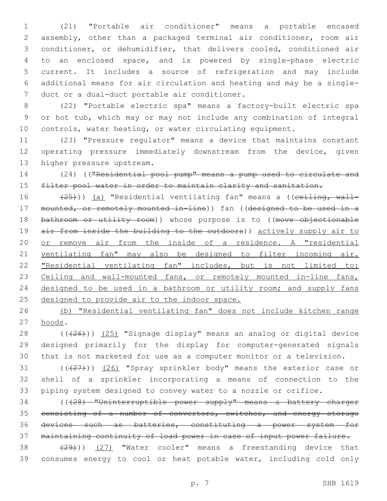(21) "Portable air conditioner" means a portable encased assembly, other than a packaged terminal air conditioner, room air conditioner, or dehumidifier, that delivers cooled, conditioned air to an enclosed space, and is powered by single-phase electric current. It includes a source of refrigeration and may include additional means for air circulation and heating and may be a single-7 duct or a dual-duct portable air conditioner.

 (22) "Portable electric spa" means a factory-built electric spa or hot tub, which may or may not include any combination of integral controls, water heating, or water circulating equipment.

 (23) "Pressure regulator" means a device that maintains constant operating pressure immediately downstream from the device, given 13 higher pressure upstream.

 (24) (("Residential pool pump" means a pump used to circulate and 15 filter pool water in order to maintain clarity and sanitation.

16 (25))) (a) "Residential ventilating fan" means a ((ceiling, wall- mounted, or remotely mounted in-line)) fan ((designed to be used in a 18 bathroom or utility room)) whose purpose is to ((move objectionable 19 air from inside the building to the outdoors)) actively supply air to or remove air from the inside of a residence. A "residential ventilating fan" may also be designed to filter incoming air. "Residential ventilating fan" includes, but is not limited to: 23 Ceiling and wall-mounted fans, or remotely mounted in-line fans, 24 designed to be used in a bathroom or utility room; and supply fans 25 designed to provide air to the indoor space.

 (b) "Residential ventilating fan" does not include kitchen range 27 hoods.

28 ((+26))) (25) "Signage display" means an analog or digital device designed primarily for the display for computer-generated signals that is not marketed for use as a computer monitor or a television.

31 (((27))) (26) "Spray sprinkler body" means the exterior case or shell of a sprinkler incorporating a means of connection to the piping system designed to convey water to a nozzle or orifice.

 (((28) "Uninterruptible power supply" means a battery charger 35 consisting of a number of convertors, switches, and energy storage devices such as batteries, constituting a power system for maintaining continuity of load power in case of input power failure.

38 (29))) (27) "Water cooler" means a freestanding device that consumes energy to cool or heat potable water, including cold only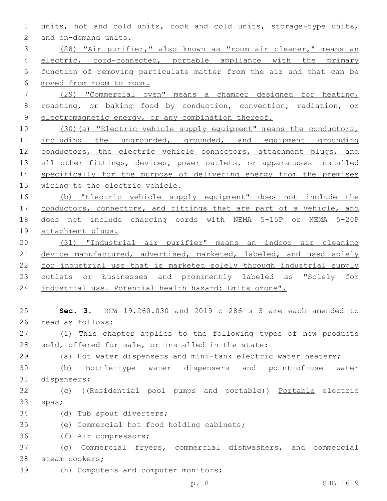1 units, hot and cold units, cook and cold units, storage-type units, 2 and on-demand units.

 (28) "Air purifier," also known as "room air cleaner," means an 4 electric, cord-connected, portable appliance with the primary function of removing particulate matter from the air and that can be moved from room to room.

7 (29) "Commercial oven" means a chamber designed for heating, 8 roasting, or baking food by conduction, convection, radiation, or 9 electromagnetic energy, or any combination thereof.

10 (30)(a) "Electric vehicle supply equipment" means the conductors, 11 including the ungrounded, grounded, and equipment grounding 12 conductors, the electric vehicle connectors, attachment plugs, and 13 all other fittings, devices, power outlets, or apparatuses installed 14 specifically for the purpose of delivering energy from the premises 15 wiring to the electric vehicle.

 (b) "Electric vehicle supply equipment" does not include the 17 conductors, connectors, and fittings that are part of a vehicle, and does not include charging cords with NEMA 5-15P or NEMA 5-20P attachment plugs.

20 (31) "Industrial air purifier" means an indoor air cleaning 21 device manufactured, advertised, marketed, labeled, and used solely 22 for industrial use that is marketed solely through industrial supply 23 <u>outlets or businesses and prominently labeled as "Solely for</u> 24 industrial use. Potential health hazard: Emits ozone".

25 **Sec. 3.** RCW 19.260.030 and 2019 c 286 s 3 are each amended to 26 read as follows:

27 (1) This chapter applies to the following types of new products 28 sold, offered for sale, or installed in the state:

29 (a) Hot water dispensers and mini-tank electric water heaters;

30 (b) Bottle-type water dispensers and point-of-use water 31 dispensers;

32 (c) ((Residential pool pumps and portable)) Portable electric 33 spas;

34 (d) Tub spout diverters;

35 (e) Commercial hot food holding cabinets;

36 (f) Air compressors;

37 (g) Commercial fryers, commercial dishwashers, and commercial 38 steam cookers;

39 (h) Computers and computer monitors;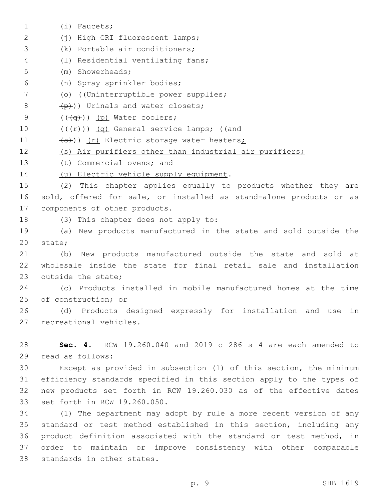(i) Faucets;1 (j) High CRI fluorescent lamps;2 3 (k) Portable air conditioners; (l) Residential ventilating fans;4 (m) Showerheads;5 (n) Spray sprinkler bodies;6 7 (o) ((Uninterruptible power supplies;  $\left(\frac{p}{p}\right)$ ) Urinals and water closets;  $($   $((\neg \rightarrow))$   $(p)$  Water coolers; 10  $((+r))$   $(q)$  General service lamps; ((and 11 (s)) (r) Electric storage water heaters; 12 (s) Air purifiers other than industrial air purifiers; 13 (t) Commercial ovens; and 14 (u) Electric vehicle supply equipment. 15 (2) This chapter applies equally to products whether they are 16 sold, offered for sale, or installed as stand-alone products or as 17 components of other products. 18 (3) This chapter does not apply to: 19 (a) New products manufactured in the state and sold outside the 20 state; 21 (b) New products manufactured outside the state and sold at 22 wholesale inside the state for final retail sale and installation 23 outside the state: 24 (c) Products installed in mobile manufactured homes at the time 25 of construction; or 26 (d) Products designed expressly for installation and use in 27 recreational vehicles. 28 **Sec. 4.** RCW 19.260.040 and 2019 c 286 s 4 are each amended to 29 read as follows: 30 Except as provided in subsection (1) of this section, the minimum 31 efficiency standards specified in this section apply to the types of 32 new products set forth in RCW 19.260.030 as of the effective dates 33 set forth in RCW 19.260.050. 34 (1) The department may adopt by rule a more recent version of any 35 standard or test method established in this section, including any

36 product definition associated with the standard or test method, in 37 order to maintain or improve consistency with other comparable 38 standards in other states.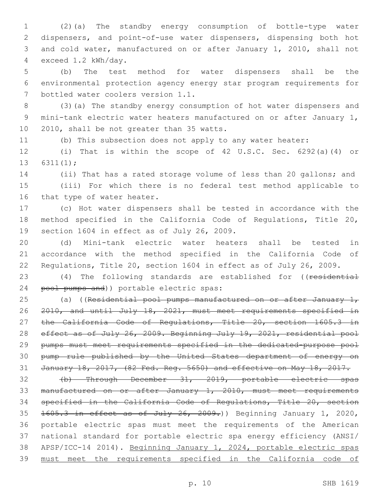(2)(a) The standby energy consumption of bottle-type water dispensers, and point-of-use water dispensers, dispensing both hot and cold water, manufactured on or after January 1, 2010, shall not exceed 1.2 kWh/day.4

 (b) The test method for water dispensers shall be the environmental protection agency energy star program requirements for 7 bottled water coolers version 1.1.

 (3)(a) The standby energy consumption of hot water dispensers and mini-tank electric water heaters manufactured on or after January 1, 10 2010, shall be not greater than 35 watts.

(b) This subsection does not apply to any water heater:

 (i) That is within the scope of 42 U.S.C. Sec. 6292(a)(4) or 13  $6311(1)$ ;

 (ii) That has a rated storage volume of less than 20 gallons; and (iii) For which there is no federal test method applicable to 16 that type of water heater.

 (c) Hot water dispensers shall be tested in accordance with the method specified in the California Code of Regulations, Title 20, 19 section 1604 in effect as of July 26, 2009.

 (d) Mini-tank electric water heaters shall be tested in accordance with the method specified in the California Code of Regulations, Title 20, section 1604 in effect as of July 26, 2009.

23 (4) The following standards are established for ((residential 24 pool pumps and)) portable electric spas:

25 (a) ((Residential pool pumps manufactured on or after January 1, 2010, and until July 18, 2021, must meet requirements specified in 27 the California Code of Regulations, Title 20, section 1605.3 in 28 effect as of July 26, 2009. Beginning July 19, 2021, residential pool pumps must meet requirements specified in the dedicated-purpose pool pump rule published by the United States department of energy on January 18, 2017, (82 Fed. Reg. 5650) and effective on May 18, 2017.

 (b) Through December 31, 2019, portable electric spas manufactured on or after January 1, 2010, must meet requirements specified in the California Code of Regulations, Title 20, section 35 1605.3 in effect as of July 26, 2009.) Beginning January 1, 2020, portable electric spas must meet the requirements of the American national standard for portable electric spa energy efficiency (ANSI/ APSP/ICC-14 2014). Beginning January 1, 2024, portable electric spas must meet the requirements specified in the California code of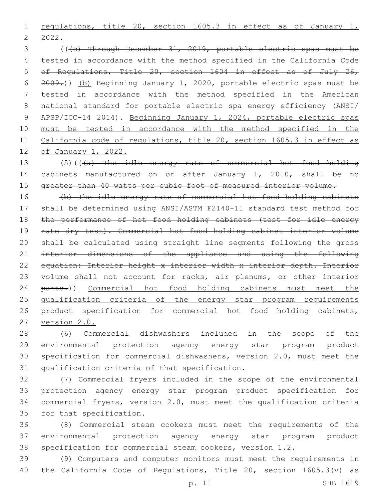1 regulations, title 20, section 1605.3 in effect as of January 1, 2022.

 (((c) Through December 31, 2019, portable electric spas must be tested in accordance with the method specified in the California Code of Regulations, Title 20, section 1604 in effect as of July 26, 2009.)) (b) Beginning January 1, 2020, portable electric spas must be tested in accordance with the method specified in the American national standard for portable electric spa energy efficiency (ANSI/ APSP/ICC-14 2014). Beginning January 1, 2024, portable electric spas must be tested in accordance with the method specified in the California code of regulations, title 20, section 1605.3 in effect as of January 1, 2022.

13 (5)(((a) The idle energy rate of commercial hot food holding cabinets manufactured on or after January 1, 2010, shall be no 15 greater than 40 watts per cubic foot of measured interior volume.

 (b) The idle energy rate of commercial hot food holding cabinets shall be determined using ANSI/ASTM F2140-11 standard test method for 18 the performance of hot food holding cabinets (test for idle energy 19 rate dry test). Commercial hot food holding cabinet interior volume shall be calculated using straight line segments following the gross 21 interior dimensions of the appliance and using the following 22 equation: Interior height x interior width x interior depth. Interior 23 volume shall not account for racks, air plenums, or other interior 24 parts.)) Commercial hot food holding cabinets must meet the qualification criteria of the energy star program requirements 26 product specification for commercial hot food holding cabinets, version 2.0.

 (6) Commercial dishwashers included in the scope of the environmental protection agency energy star program product specification for commercial dishwashers, version 2.0, must meet the 31 qualification criteria of that specification.

 (7) Commercial fryers included in the scope of the environmental protection agency energy star program product specification for commercial fryers, version 2.0, must meet the qualification criteria 35 for that specification.

 (8) Commercial steam cookers must meet the requirements of the environmental protection agency energy star program product specification for commercial steam cookers, version 1.2.

 (9) Computers and computer monitors must meet the requirements in the California Code of Regulations, Title 20, section 1605.3(v) as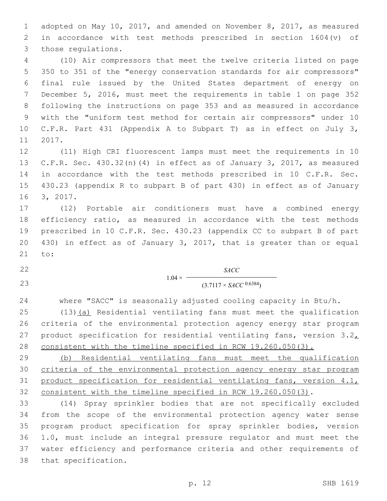adopted on May 10, 2017, and amended on November 8, 2017, as measured in accordance with test methods prescribed in section 1604(v) of 3 those regulations.

 (10) Air compressors that meet the twelve criteria listed on page 350 to 351 of the "energy conservation standards for air compressors" final rule issued by the United States department of energy on December 5, 2016, must meet the requirements in table 1 on page 352 following the instructions on page 353 and as measured in accordance with the "uniform test method for certain air compressors" under 10 C.F.R. Part 431 (Appendix A to Subpart T) as in effect on July 3, 11 2017.

 (11) High CRI fluorescent lamps must meet the requirements in 10 C.F.R. Sec. 430.32(n)(4) in effect as of January 3, 2017, as measured in accordance with the test methods prescribed in 10 C.F.R. Sec. 430.23 (appendix R to subpart B of part 430) in effect as of January 16 3, 2017.

 (12) Portable air conditioners must have a combined energy efficiency ratio, as measured in accordance with the test methods prescribed in 10 C.F.R. Sec. 430.23 (appendix CC to subpart B of part 430) in effect as of January 3, 2017, that is greater than or equal 21 to:

*SACC*

## 23 (3.7117 × *SACC* <sup>0.6384</sup>)

where "SACC" is seasonally adjusted cooling capacity in Btu/h.

 $1.04 \times$ 

 (13)(a) Residential ventilating fans must meet the qualification criteria of the environmental protection agency energy star program 27 product specification for residential ventilating fans, version  $3.2<sub>L</sub>$ consistent with the timeline specified in RCW 19.260.050(3).

 (b) Residential ventilating fans must meet the qualification criteria of the environmental protection agency energy star program product specification for residential ventilating fans, version 4.1, consistent with the timeline specified in RCW 19.260.050(3).

 (14) Spray sprinkler bodies that are not specifically excluded from the scope of the environmental protection agency water sense program product specification for spray sprinkler bodies, version 1.0, must include an integral pressure regulator and must meet the water efficiency and performance criteria and other requirements of 38 that specification.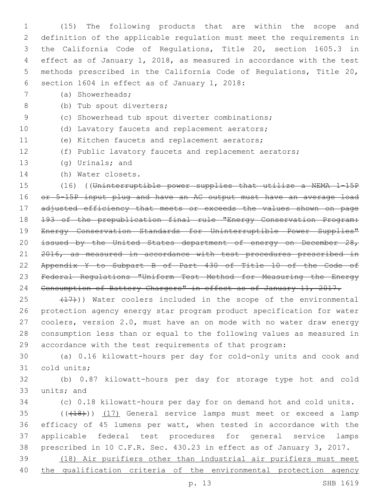(15) The following products that are within the scope and definition of the applicable regulation must meet the requirements in the California Code of Regulations, Title 20, section 1605.3 in effect as of January 1, 2018, as measured in accordance with the test methods prescribed in the California Code of Regulations, Title 20, 6 section 1604 in effect as of January 1, 2018:

(a) Showerheads;7

8 (b) Tub spout diverters;

- (c) Showerhead tub spout diverter combinations;
- (d) Lavatory faucets and replacement aerators;
- 11 (e) Kitchen faucets and replacement aerators;
- (f) Public lavatory faucets and replacement aerators;
- 13 (g) Urinals; and
- 14 (h) Water closets.

 (16) ((Uninterruptible power supplies that utilize a NEMA 1-15P or 5-15P input plug and have an AC output must have an average load adjusted efficiency that meets or exceeds the values shown on page 193 of the prepublication final rule "Energy Conservation Program: Energy Conservation Standards for Uninterruptible Power Supplies" 20 issued by the United States department of energy on December 28, 21 2016, as measured in accordance with test procedures prescribed in Appendix Y to Subpart B of Part 430 of Title 10 of the Code of Federal Regulations "Uniform Test Method for Measuring the Energy Consumption of Battery Chargers" in effect as of January 11, 2017.

25 (17)) Water coolers included in the scope of the environmental protection agency energy star program product specification for water coolers, version 2.0, must have an on mode with no water draw energy consumption less than or equal to the following values as measured in accordance with the test requirements of that program:

 (a) 0.16 kilowatt-hours per day for cold-only units and cook and 31 cold units;

 (b) 0.87 kilowatt-hours per day for storage type hot and cold 33 units; and

(c) 0.18 kilowatt-hours per day for on demand hot and cold units.

35 (((418))) (17) General service lamps must meet or exceed a lamp efficacy of 45 lumens per watt, when tested in accordance with the applicable federal test procedures for general service lamps prescribed in 10 C.F.R. Sec. 430.23 in effect as of January 3, 2017.

 (18) Air purifiers other than industrial air purifiers must meet 40 the qualification criteria of the environmental protection agency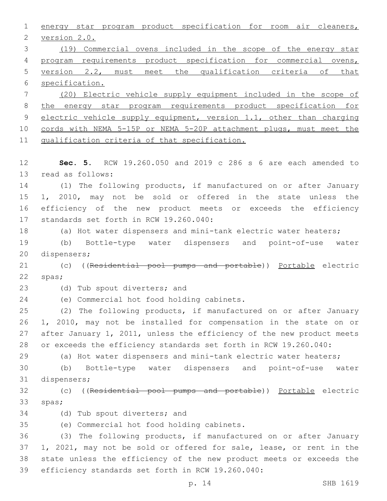energy star program product specification for room air cleaners, 2 version 2.0. (19) Commercial ovens included in the scope of the energy star program requirements product specification for commercial ovens, version 2.2, must meet the qualification criteria of that specification. (20) Electric vehicle supply equipment included in the scope of the energy star program requirements product specification for 9 electric vehicle supply equipment, version 1.1, other than charging cords with NEMA 5-15P or NEMA 5-20P attachment plugs, must meet the qualification criteria of that specification. **Sec. 5.** RCW 19.260.050 and 2019 c 286 s 6 are each amended to 13 read as follows: (1) The following products, if manufactured on or after January 1, 2010, may not be sold or offered in the state unless the efficiency of the new product meets or exceeds the efficiency 17 standards set forth in RCW 19.260.040: (a) Hot water dispensers and mini-tank electric water heaters; (b) Bottle-type water dispensers and point-of-use water 20 dispensers; 21 (c) ((Residential pool pumps and portable)) Portable electric 22 spas; 23 (d) Tub spout diverters; and 24 (e) Commercial hot food holding cabinets. (2) The following products, if manufactured on or after January 1, 2010, may not be installed for compensation in the state on or after January 1, 2011, unless the efficiency of the new product meets or exceeds the efficiency standards set forth in RCW 19.260.040: (a) Hot water dispensers and mini-tank electric water heaters; (b) Bottle-type water dispensers and point-of-use water 31 dispensers; (c) ((Residential pool pumps and portable)) Portable electric 33 spas; 34 (d) Tub spout diverters; and (e) Commercial hot food holding cabinets.35 (3) The following products, if manufactured on or after January 1, 2021, may not be sold or offered for sale, lease, or rent in the state unless the efficiency of the new product meets or exceeds the 39 efficiency standards set forth in RCW 19.260.040: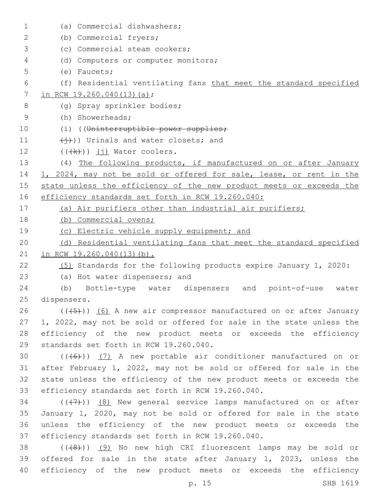| $\mathbf 1$ | (a) Commercial dishwashers;                                          |
|-------------|----------------------------------------------------------------------|
| 2           | (b) Commercial fryers;                                               |
| 3           | (c) Commercial steam cookers;                                        |
| 4           | (d) Computers or computer monitors;                                  |
| 5           | $(e)$ Faucets;                                                       |
| 6           | (f) Residential ventilating fans that meet the standard specified    |
| 7           | in RCW 19.260.040(13)(a);                                            |
| 8           | (q) Spray sprinkler bodies;                                          |
| 9           | (h) Showerheads;                                                     |
| 10          | (i) ((Uninterruptible power supplies;                                |
| 11          | $(\overleftrightarrow{+})$ ) Urinals and water closets; and          |
| 12          | $((\n+k))$ (j) Water coolers.                                        |
| 13          | (4) The following products, if manufactured on or after January      |
| 14          | 1, 2024, may not be sold or offered for sale, lease, or rent in the  |
| 15          | state unless the efficiency of the new product meets or exceeds the  |
| 16          | efficiency standards set forth in RCW 19.260.040:                    |
| 17          | (a) Air purifiers other than industrial air purifiers;               |
| 18          | (b) Commercial ovens;                                                |
| 19          | (c) Electric vehicle supply equipment; and                           |
| 20          | (d) Residential ventilating fans that meet the standard specified    |
| 21          | in RCW 19.260.040(13)(b).                                            |
| 22          | (5) Standards for the following products expire January 1, 2020:     |
| 23          | (a) Hot water dispensers; and                                        |
| 24          | (b) Bottle-type water dispensers and point-of-use water              |
| 25          | dispensers.                                                          |
| 26          | $((+5))$ (6) A new air compressor manufactured on or after January   |
| 27          | 1, 2022, may not be sold or offered for sale in the state unless the |
| 28          | efficiency of the new product meets or exceeds the efficiency        |
| 29          | standards set forth in RCW 19.260.040.                               |
| 30          | $((+6))$ (7) A new portable air conditioner manufactured on or       |
| 31          | after February 1, 2022, may not be sold or offered for sale in the   |
| 32          | state unless the efficiency of the new product meets or exceeds the  |
| 33          | efficiency standards set forth in RCW 19.260.040.                    |
| 34          | $((+7))$ (8) New general service lamps manufactured on or after      |
| 35          | January 1, 2020, may not be sold or offered for sale in the state    |
| 36          | unless the efficiency of the new product meets or exceeds the        |
| 37          | efficiency standards set forth in RCW 19.260.040.                    |
| 38          | $((+8+))$ (9) No new high CRI fluorescent lamps may be sold or       |
| 39          | offered for sale in the state after January 1, 2023, unless the      |
| 40          | efficiency of the new product meets or exceeds the efficiency        |
|             | p. 15<br>SHB 1619                                                    |